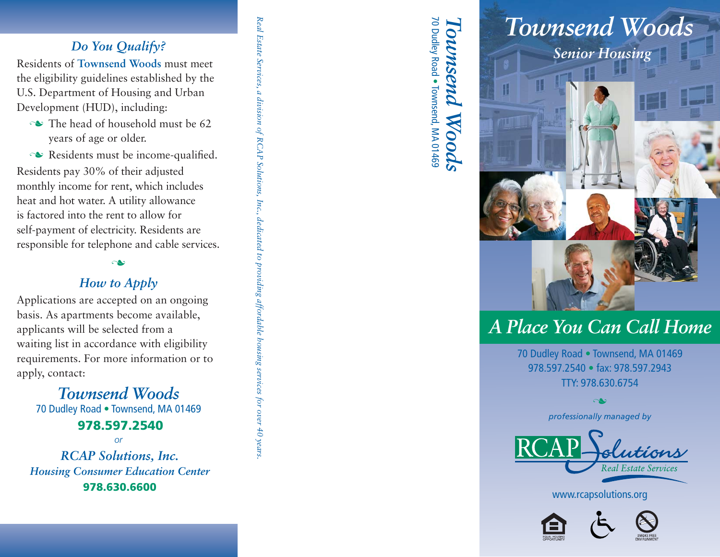# *Do You Qualify?*

Residents of **Townsend Woods** must meet the eligibility guidelines established by the U.S. Department of Housing and Urban Development (HUD), including:

- $\sim$  The head of household must be 62 years of age or older.
- $\sim$  Residents must be income-qualified.

Residents pay 30% of their adjusted monthly income for rent, which includes heat and hot water. A utility allowance is factored into the rent to allow for self-payment of electricity. Residents are responsible for telephone and cable services.

#### ى

## *How to Apply*

Applications are accepted on an ongoing basis. As apartments become available, applicants will be selected from a waiting list in accordance with eligibility requirements. For more information or to apply, contact:

*Townsend Woods*70 Dudley Road . Townsend, MA 01469 **978.597.2540**

*or*

*RCAP Solutions, Inc. Housing Consumer Education Center*978.630.6600

Real Estate Services, *Real Estate Services, a division of RCAP Solutions, Inc., dedicated to providing affordable housing services for over 40 years.*a division of RCAP Solutions, Inc., dedicated to providing affordable housing services for over 40 years

70 Dudley Road *Townsend Woods*<br><sup>70 Dudley Road • Townsend, MA 01469</sup>

# *Senior Housing Townsend Woods*



# *A Place You Can Call Home*

70 Dudley Road . Townsend, MA 01469 978.597.2540 · fax: 978.597.2943 TTY: 978.630.6754

> *professionally managed by* n

www.rcapsolutions.org